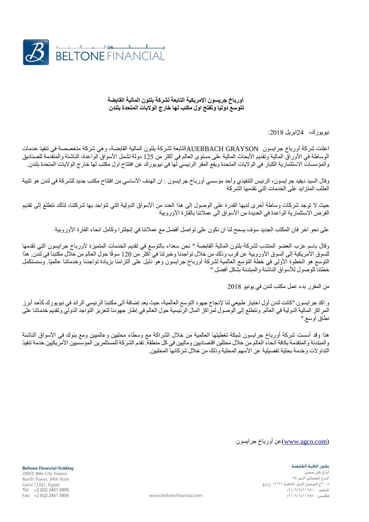

## **أورباخ جريسون االمريكية التابعة لشركة بلتون المالية القابضة تتوسع دوليا وتفتح اول مكتب لها خارج الواليات المتحدة بلندن**

نيويورك، 24ابريل :8102

اعلنت شركة أورباخ جرايسون GRAYSON AUERBACHالتابعة لشركة بلتون المالية القابضة، وهي شركة متخصصة في تنفيذ خدمات الوساطة في الأوراق المالية وتقديم الأبحاث المالية على مستوى العالم في أكثر من 125 دولة تشمل الأسواق الواعدة، الناشئة والمتقدمة للصناديق والمؤسسات الاستثمارية الكبار في الولايات المتحدة ويقع المقر الرئيسي لها في نيويورك عن افتتاح اول مكتب لها خارج الولايات المتحدة بلندن.

وقال السيد ديفيد جرايسون، الرئيس التنفيذي وأحد مؤسسي أورباخ جرايسون : ان الهدف الأساسي من افتتاح مكتب جديد للشركة في لندن هو تلبية الطلب المتزايد على الخدمات التي تقدمها الشركة

حيث لا توجد شركات وساطة أخرى لديها القدرة على الوصول إلى هذا العدد من الأسواق الدولية التي تتواجد بها شركتنا، لذلك نتطلع إلى تقديم الفرص الاستثمارية الواعدة في العديدة من الأسواق الى عملائنا بالقارة الأوروبية

على نحو اخر فان المكتب الجديد سوف يسمح لنا ان نكون على تواصل أفضل مع عمالئنا في إنجلترا وكامل انحاء القارة األوروبية

وقال باسم عزب العضو المنتدب لشركة بلتون المالية القابضة " نحن سعداء بالتوسع في تقديم الخدمات المتميزة ألورباخ جرايسون التي تقدمها للسوق الأمريكية إلى السوق الأوروبية عن قرب وذلك من خلال تواجدنا وخبرتنا في أكثر من 120 سوقًا حول العالم من خلال مكتبنا في لندن. هذا التوسع هو الخطوة األولى في خطة التوسع العالمية لشركة أورباخ جرايسون وهو دليل على التزامنا بزيادة تواجدنا وخدماتنا عالميًا. وسنستكمل خطتنا للوصول لألسواق الناشئة والمبتدئة بشكل أفضل."

من المقرر بدء عمل مكتب لندن في يونيو 8102

و اكد جرايسون "كانت لندن أول اختيار طبيعي لنا إلنجاح جهود التوسع العالمية، حيث يعد إضافة الى مكتبنا الرئيسي الرائد في نيويورك كأحد أبرز المراكز المالية الدولية في العالم. ونتطلع إلى الوصول لمراكز المال الرئيسية حول العالم في إطار جهودنا لتعزيز التواجد الدولي وتقديم خدماتنا على نطاق أوسع."

هذا وقد أسست شركة أورباخ جرايسون شبكة تغطيتها العالمية من خلال الشراكة مع وسطاء محلبين وعالميين ومع بنوك في الأسواق الناشئة والمبتدئة والمتقدمة بكافة أنحاء العالم من خالل محللين اقتصاديين وماليين في كل منطقة. تقدم الشركة للمستثمرين المؤسسيين األمريكيين خدمة تنفيذ التداو لات وخدمة بحثية تفصيلية عن الأسهم المحلية وذلك من خلال شركائها المحليين.

[\(com.agco.www\(](http://www.agco.com/)عن أورباخ جرايسون

## بلتون المالية القابضة

أبراج نابل سيت البرج الشمالي. الدور ٣٤ ٢٠٠٥ج كورنيش النيل. القاهرة ١١٢٢١. ج.م.ع ح سوريس ميس.<br>تليفون: ۱۸۰۰ ۱۶۱۱ (۰۲ ق فاكس: ٩٨٥٠ ٢٤٦١ (٠٢) ٢+

**Beltone Financial Holding** 2005C Nile City Towers North Tower, 34th floor Cairo 11221, Egypt Tel: +2 (02) 2461 6800 Fax: +2 (02) 2461 9850

www.beltonefinancial.com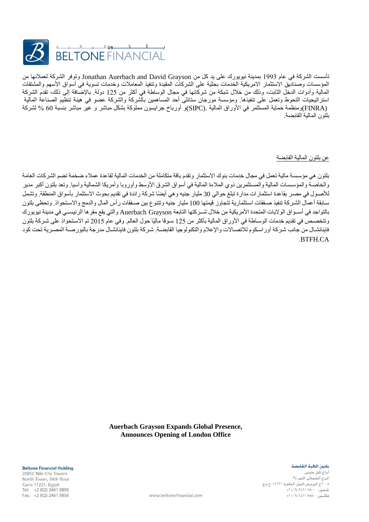

تأسست الشركة في عام 0991 بمدينة نيويورك على يد كل من Grayson David and Auerbach Jonathan وتوفر الشركة لعمالئها من المؤسسات وصناديق الاستثمار الامريكية الخدمات بحثية على الشركات المقيدة وتنفيذ المعاملات وخدمات تسوية في أسواق الأسهم والمشتقات المالية وأدوات الدخل الثابت، وذلك من خالل شبكة من شركائها في مجال الوساطة في أكثر من 085 دولة. باإلضافة إلى ذلك، تقدم الشركة استراتيجيات التحوط وتعمل على تنفيذها. ومؤسسة مورجان ستانلى أحد المساهمين بالشركة والشركة عضو في هيئة تنظيم الصناعة المالية (FINRA(ومنظمة حماية المستثمر في األوراق المالية .(SIPC(و أورباخ جرايسون مملوكة بشكل مباشر و غير مباشر بنسبة 01 % لشركة بلتون المالية القابضة.

عن بلتون المالية القابضة

بلتون هي مؤسسسسة مالية تعمل في مجال خدمات بنوك االستثمار وتقدم باقة متكاملة من الخدمات المالية لقاعدة عمالء ضخمة تضم الشركات العامة والخاصـة والمؤسسـات المالية والمستثمرين ذوي الملاءة المالية في أسواق الشرق الأوسط وأوروبا وأمريكا الشمالية وآسيا. وتعد بلتون أكبر مدير للأصبول في مصبر بقاعدة استثمار ات مدار ة تبلغ حوالي 30 مليار جنيه و هي أيضًا شركة رائدة في تقديم بحوث الاستثمار بأسواق المنطقة. وتشمل سابقة أعمال الشركة تنفيذ صنفقات استثمارية تتجاوز قيمتها 100 مليار جنيه وتتنوع بين صنفقات رأس المال والدمج والاستحواذ. وتحظى بلتون بالتواجد في أسسسسواق الواليات المتحدة األمريكية من خالل شسسسركتها التابعة Grayson Auerbach والتي يقع مقرها الرئيسسسسي في مدينة نيويورك وتتخصص في تقديم خدمات الوسـاطة في الأوراق المالية بأكثر من 125 سـوقا ماليًا حول العالم. وفي عام 2015 تم الاستحواذ على شـركة بلتون فاينانشال من جانب شركة أوراسكوم للاتصـالات والإعلام والتكنولوجيا القابضـة. شركة بلتون فاينانشـال مدرجة بالبورصـة المصـرية تحت كود .BTFH.CA

> **Auerbach Grayson Expands Global Presence, Announces Opening of London Office**

> > بلتون المالية القابضة

أبراج نايل سيت البرج الشمالي. الدور ٣٤ ٢٠٠٥ج كورنيش النيل. القاهرة ١١٢٢١. ج.م.ع ح سوريان<br>تليفون: ۱۸۰۰ ۱۲٤٦۱ (۰۲ تا ۴۴ فاكس: ٩٨٥٠ ٢٤٦١ (٠٢) ٢+

**Beltone Financial Holding** 

2005C Nile City Towers North Tower, 34th floor Cairo 11221, Egypt Tel: +2 (02) 2461 6800 Fax: +2 (02) 2461 9850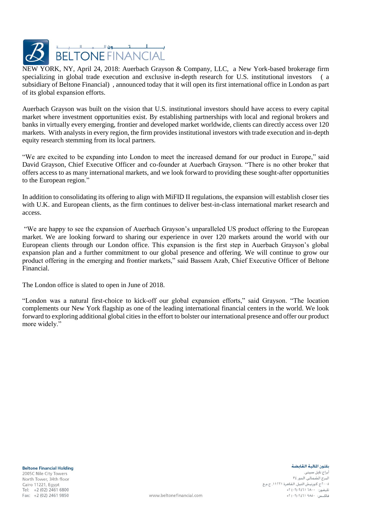

NEW YORK, NY, April 24, 2018: Auerbach Grayson & Company, LLC, a New York-based brokerage firm specializing in global trade execution and exclusive in-depth research for U.S. institutional investors ( a subsidiary of Beltone Financial) , announced today that it will open its first international office in London as part of its global expansion efforts.

Auerbach Grayson was built on the vision that U.S. institutional investors should have access to every capital market where investment opportunities exist. By establishing partnerships with local and regional brokers and banks in virtually every emerging, frontier and developed market worldwide, clients can directly access over 120 markets. With analysts in every region, the firm provides institutional investors with trade execution and in-depth equity research stemming from its local partners.

"We are excited to be expanding into London to meet the increased demand for our product in Europe," said David Grayson, Chief Executive Officer and co-founder at Auerbach Grayson. "There is no other broker that offers access to as many international markets, and we look forward to providing these sought-after opportunities to the European region."

In addition to consolidating its offering to align with MiFID II regulations, the expansion will establish closer ties with U.K. and European clients, as the firm continues to deliver best-in-class international market research and access.

"We are happy to see the expansion of Auerbach Grayson's unparalleled US product offering to the European market. We are looking forward to sharing our experience in over 120 markets around the world with our European clients through our London office. This expansion is the first step in Auerbach Grayson's global expansion plan and a further commitment to our global presence and offering. We will continue to grow our product offering in the emerging and frontier markets," said Bassem Azab, Chief Executive Officer of Beltone Financial.

The London office is slated to open in June of 2018.

"London was a natural first-choice to kick-off our global expansion efforts," said Grayson. "The location complements our New York flagship as one of the leading international financial centers in the world. We look forward to exploring additional global cities in the effort to bolster our international presence and offer our product more widely."

**Beltone Financial Holding** 2005C Nile City Towers North Tower, 34th floor Cairo 11221, Egypt Tel: +2 (02) 2461 6800 Fax: +2 (02) 2461 9850

بلتون المالية القابضة

أبراج نابل سية البرج الشمالي. الدور ٣٤ ٢٠٠٥ج كورنيش النيل. القاهرة ١١٢٢١. ج.م.ع ح سوريس ميس.<br>تليفون: ۱۸۰۰ ۱۶۱۱ (۰۲ ق فاكس: ٩٨٥٠ ٩٢١١ (٠٢) ٢+